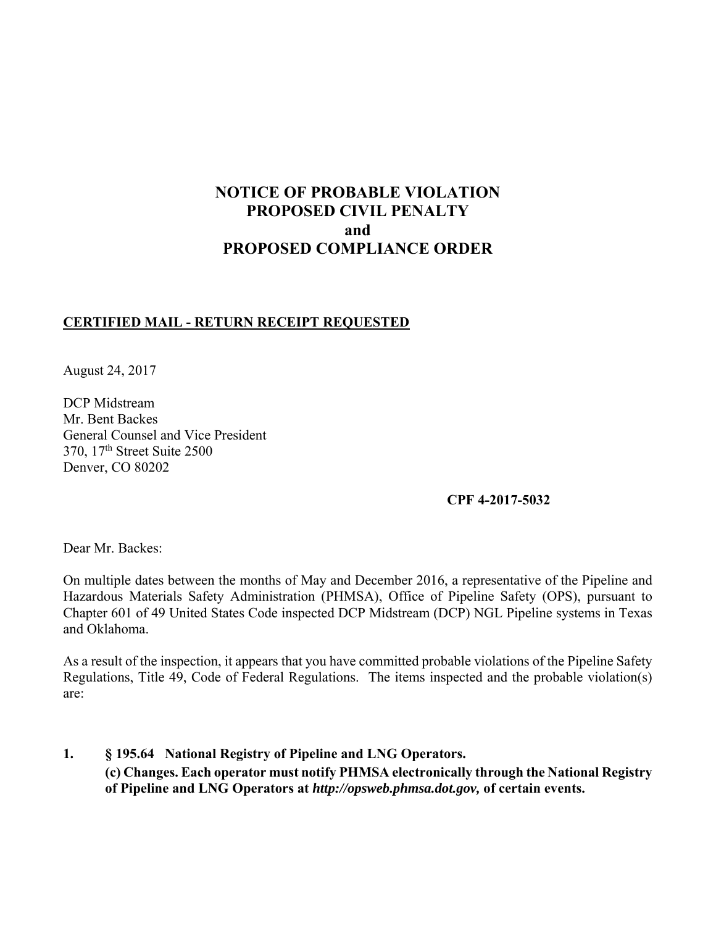# **NOTICE OF PROBABLE VIOLATION PROPOSED CIVIL PENALTY and PROPOSED COMPLIANCE ORDER**

### **CERTIFIED MAIL - RETURN RECEIPT REQUESTED**

August 24, 2017

DCP Midstream Mr. Bent Backes General Counsel and Vice President 370, 17th Street Suite 2500 Denver, CO 80202

### **CPF 4-2017-5032**

Dear Mr. Backes:

On multiple dates between the months of May and December 2016, a representative of the Pipeline and Hazardous Materials Safety Administration (PHMSA), Office of Pipeline Safety (OPS), pursuant to Chapter 601 of 49 United States Code inspected DCP Midstream (DCP) NGL Pipeline systems in Texas and Oklahoma.

As a result of the inspection, it appears that you have committed probable violations of the Pipeline Safety Regulations, Title 49, Code of Federal Regulations. The items inspected and the probable violation(s) are:

**1. § 195.64 National Registry of Pipeline and LNG Operators. (c) Changes. Each operator must notify PHMSA electronically through the National Registry of Pipeline and LNG Operators at** *http://opsweb.phmsa.dot.gov,* **of certain events.**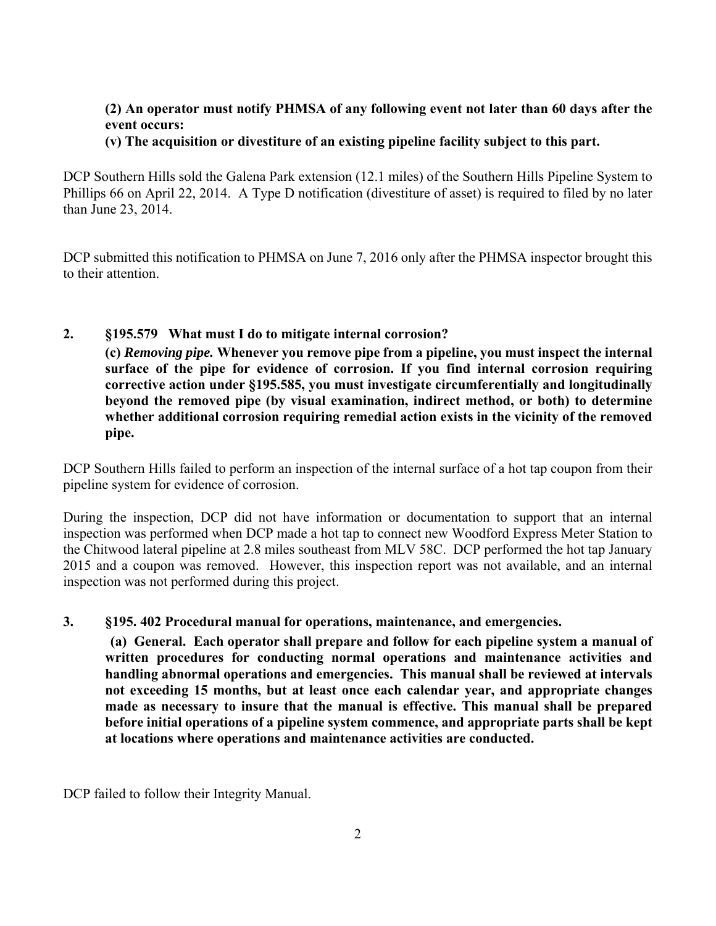### **(2) An operator must notify PHMSA of any following event not later than 60 days after the event occurs:**

#### **(v) The acquisition or divestiture of an existing pipeline facility subject to this part.**

DCP Southern Hills sold the Galena Park extension (12.1 miles) of the Southern Hills Pipeline System to Phillips 66 on April 22, 2014. A Type D notification (divestiture of asset) is required to filed by no later than June 23, 2014.

DCP submitted this notification to PHMSA on June 7, 2016 only after the PHMSA inspector brought this to their attention.

### **2. §195.579 What must I do to mitigate internal corrosion?**

**(c)** *Removing pipe.* **Whenever you remove pipe from a pipeline, you must inspect the internal surface of the pipe for evidence of corrosion. If you find internal corrosion requiring corrective action under §195.585, you must investigate circumferentially and longitudinally beyond the removed pipe (by visual examination, indirect method, or both) to determine whether additional corrosion requiring remedial action exists in the vicinity of the removed pipe.** 

DCP Southern Hills failed to perform an inspection of the internal surface of a hot tap coupon from their pipeline system for evidence of corrosion.

During the inspection, DCP did not have information or documentation to support that an internal inspection was performed when DCP made a hot tap to connect new Woodford Express Meter Station to the Chitwood lateral pipeline at 2.8 miles southeast from MLV 58C. DCP performed the hot tap January 2015 and a coupon was removed. However, this inspection report was not available, and an internal inspection was not performed during this project.

#### **3. §195. 402 Procedural manual for operations, maintenance, and emergencies.**

 **(a) General. Each operator shall prepare and follow for each pipeline system a manual of written procedures for conducting normal operations and maintenance activities and handling abnormal operations and emergencies. This manual shall be reviewed at intervals not exceeding 15 months, but at least once each calendar year, and appropriate changes made as necessary to insure that the manual is effective. This manual shall be prepared before initial operations of a pipeline system commence, and appropriate parts shall be kept at locations where operations and maintenance activities are conducted.** 

DCP failed to follow their Integrity Manual.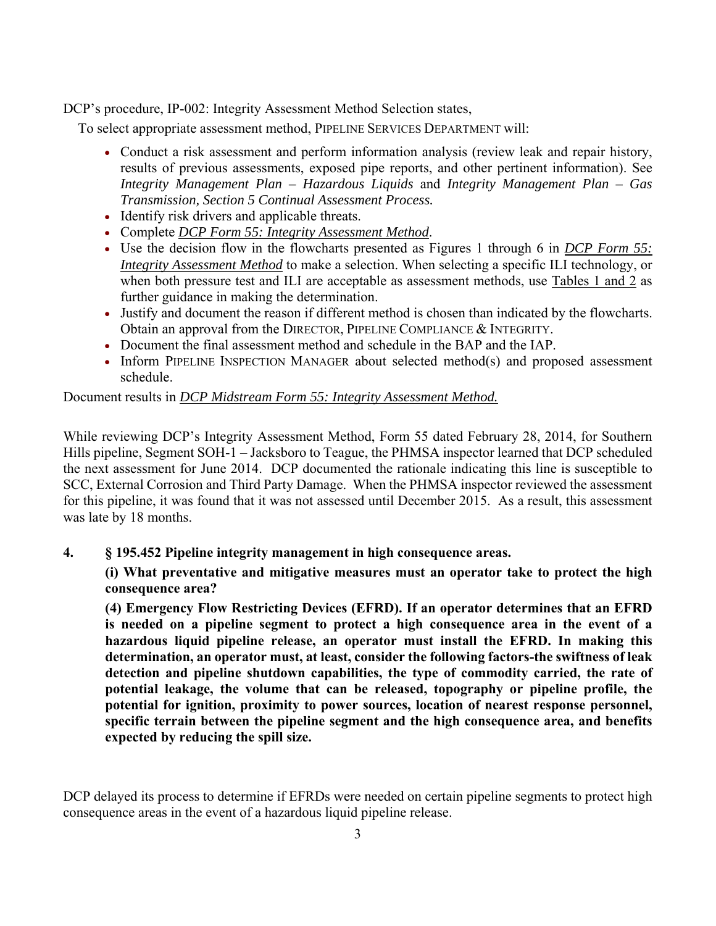DCP's procedure, IP-002: Integrity Assessment Method Selection states,

To select appropriate assessment method, PIPELINE SERVICES DEPARTMENT will:

- Conduct a risk assessment and perform information analysis (review leak and repair history, results of previous assessments, exposed pipe reports, and other pertinent information). See *Integrity Management Plan – Hazardous Liquids* and *Integrity Management Plan – Gas Transmission, Section 5 Continual Assessment Process.*
- Identify risk drivers and applicable threats.
- Complete *DCP Form 55: Integrity Assessment Method*.
- Use the decision flow in the flowcharts presented as Figures 1 through 6 in *DCP Form 55: Integrity Assessment Method* to make a selection. When selecting a specific ILI technology, or when both pressure test and ILI are acceptable as assessment methods, use Tables 1 and 2 as further guidance in making the determination.
- Justify and document the reason if different method is chosen than indicated by the flowcharts. Obtain an approval from the DIRECTOR, PIPELINE COMPLIANCE & INTEGRITY.
- Document the final assessment method and schedule in the BAP and the IAP.
- Inform PIPELINE INSPECTION MANAGER about selected method(s) and proposed assessment schedule.

Document results in *DCP Midstream Form 55: Integrity Assessment Method.*

While reviewing DCP's Integrity Assessment Method, Form 55 dated February 28, 2014, for Southern Hills pipeline, Segment SOH-1 – Jacksboro to Teague, the PHMSA inspector learned that DCP scheduled the next assessment for June 2014. DCP documented the rationale indicating this line is susceptible to SCC, External Corrosion and Third Party Damage. When the PHMSA inspector reviewed the assessment for this pipeline, it was found that it was not assessed until December 2015. As a result, this assessment was late by 18 months.

**4. § 195.452 Pipeline integrity management in high consequence areas.**

**(i) What preventative and mitigative measures must an operator take to protect the high consequence area?** 

**(4) Emergency Flow Restricting Devices (EFRD). If an operator determines that an EFRD is needed on a pipeline segment to protect a high consequence area in the event of a hazardous liquid pipeline release, an operator must install the EFRD. In making this determination, an operator must, at least, consider the following factors-the swiftness of leak detection and pipeline shutdown capabilities, the type of commodity carried, the rate of potential leakage, the volume that can be released, topography or pipeline profile, the potential for ignition, proximity to power sources, location of nearest response personnel, specific terrain between the pipeline segment and the high consequence area, and benefits expected by reducing the spill size.** 

DCP delayed its process to determine if EFRDs were needed on certain pipeline segments to protect high consequence areas in the event of a hazardous liquid pipeline release.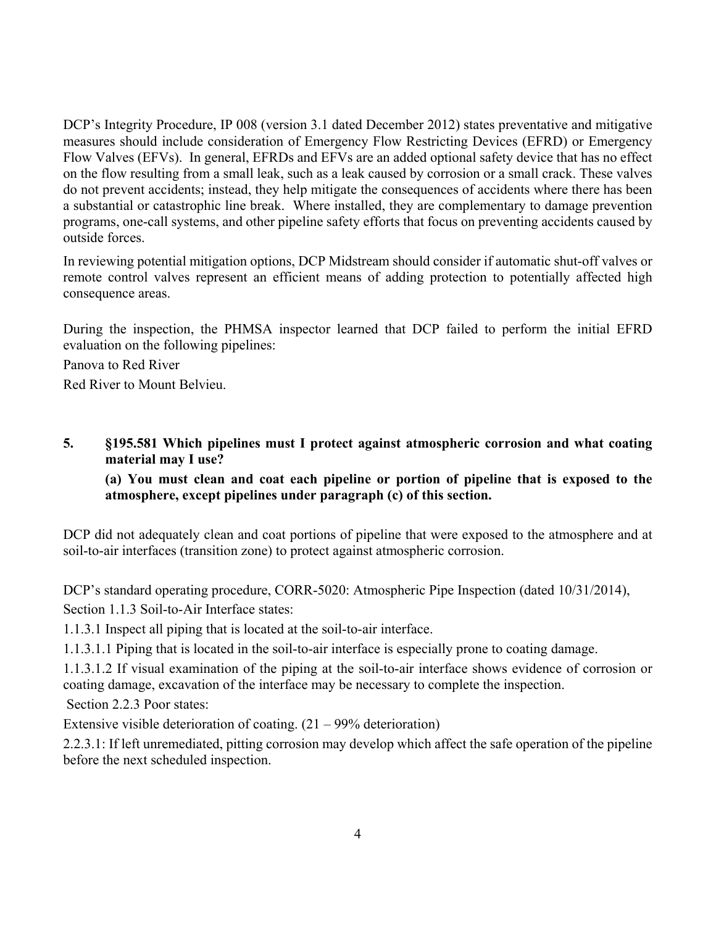DCP's Integrity Procedure, IP 008 (version 3.1 dated December 2012) states preventative and mitigative measures should include consideration of Emergency Flow Restricting Devices (EFRD) or Emergency Flow Valves (EFVs). In general, EFRDs and EFVs are an added optional safety device that has no effect on the flow resulting from a small leak, such as a leak caused by corrosion or a small crack. These valves do not prevent accidents; instead, they help mitigate the consequences of accidents where there has been a substantial or catastrophic line break. Where installed, they are complementary to damage prevention programs, one-call systems, and other pipeline safety efforts that focus on preventing accidents caused by outside forces.

In reviewing potential mitigation options, DCP Midstream should consider if automatic shut-off valves or remote control valves represent an efficient means of adding protection to potentially affected high consequence areas.

During the inspection, the PHMSA inspector learned that DCP failed to perform the initial EFRD evaluation on the following pipelines:

Panova to Red River

Red River to Mount Belvieu.

#### **5. §195.581 Which pipelines must I protect against atmospheric corrosion and what coating material may I use?**

### **(a) You must clean and coat each pipeline or portion of pipeline that is exposed to the atmosphere, except pipelines under paragraph (c) of this section.**

DCP did not adequately clean and coat portions of pipeline that were exposed to the atmosphere and at soil-to-air interfaces (transition zone) to protect against atmospheric corrosion.

DCP's standard operating procedure, CORR-5020: Atmospheric Pipe Inspection (dated 10/31/2014), Section 1.1.3 Soil-to-Air Interface states:

1.1.3.1 Inspect all piping that is located at the soil-to-air interface.

1.1.3.1.1 Piping that is located in the soil-to-air interface is especially prone to coating damage.

1.1.3.1.2 If visual examination of the piping at the soil-to-air interface shows evidence of corrosion or coating damage, excavation of the interface may be necessary to complete the inspection.

Section 2.2.3 Poor states:

Extensive visible deterioration of coating.  $(21 - 99\%$  deterioration)

2.2.3.1: If left unremediated, pitting corrosion may develop which affect the safe operation of the pipeline before the next scheduled inspection.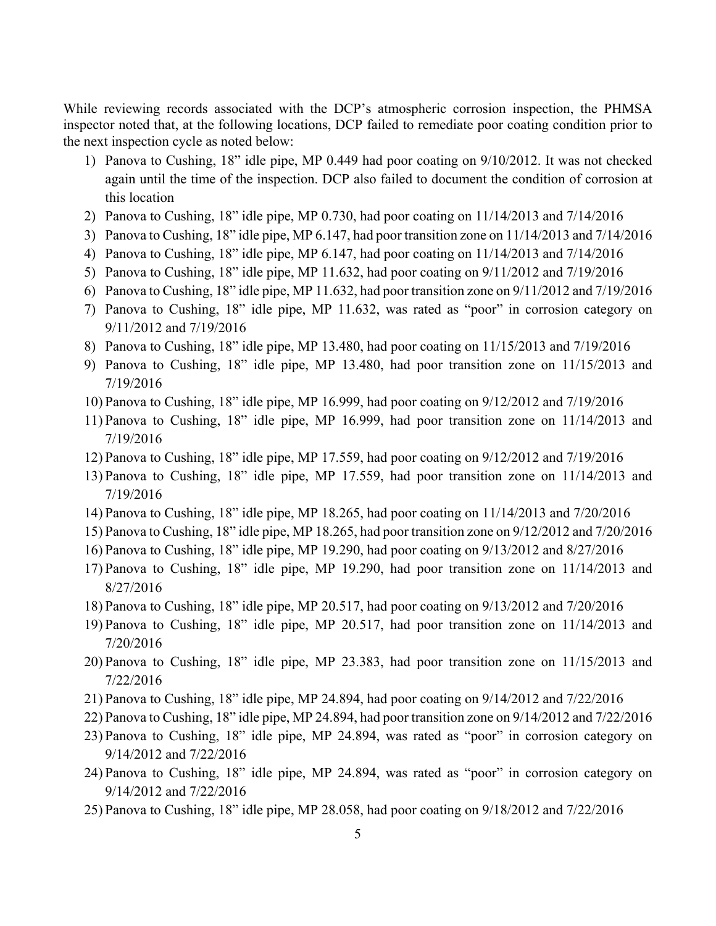While reviewing records associated with the DCP's atmospheric corrosion inspection, the PHMSA inspector noted that, at the following locations, DCP failed to remediate poor coating condition prior to the next inspection cycle as noted below:

- 1) Panova to Cushing, 18" idle pipe, MP 0.449 had poor coating on 9/10/2012. It was not checked again until the time of the inspection. DCP also failed to document the condition of corrosion at this location
- 2) Panova to Cushing, 18" idle pipe, MP 0.730, had poor coating on 11/14/2013 and 7/14/2016
- 3) Panova to Cushing, 18" idle pipe, MP 6.147, had poor transition zone on 11/14/2013 and 7/14/2016
- 4) Panova to Cushing, 18" idle pipe, MP 6.147, had poor coating on 11/14/2013 and 7/14/2016
- 5) Panova to Cushing, 18" idle pipe, MP 11.632, had poor coating on 9/11/2012 and 7/19/2016
- 6) Panova to Cushing, 18" idle pipe, MP 11.632, had poor transition zone on 9/11/2012 and 7/19/2016
- 7) Panova to Cushing, 18" idle pipe, MP 11.632, was rated as "poor" in corrosion category on 9/11/2012 and 7/19/2016
- 8) Panova to Cushing, 18" idle pipe, MP 13.480, had poor coating on 11/15/2013 and 7/19/2016
- 9) Panova to Cushing, 18" idle pipe, MP 13.480, had poor transition zone on 11/15/2013 and 7/19/2016
- 10) Panova to Cushing, 18" idle pipe, MP 16.999, had poor coating on 9/12/2012 and 7/19/2016
- 11) Panova to Cushing, 18" idle pipe, MP 16.999, had poor transition zone on 11/14/2013 and 7/19/2016
- 12) Panova to Cushing, 18" idle pipe, MP 17.559, had poor coating on 9/12/2012 and 7/19/2016
- 13) Panova to Cushing, 18" idle pipe, MP 17.559, had poor transition zone on 11/14/2013 and 7/19/2016
- 14) Panova to Cushing, 18" idle pipe, MP 18.265, had poor coating on 11/14/2013 and 7/20/2016
- 15) Panova to Cushing, 18" idle pipe, MP 18.265, had poor transition zone on 9/12/2012 and 7/20/2016
- 16) Panova to Cushing, 18" idle pipe, MP 19.290, had poor coating on 9/13/2012 and 8/27/2016
- 17) Panova to Cushing, 18" idle pipe, MP 19.290, had poor transition zone on 11/14/2013 and 8/27/2016
- 18) Panova to Cushing, 18" idle pipe, MP 20.517, had poor coating on 9/13/2012 and 7/20/2016
- 19) Panova to Cushing, 18" idle pipe, MP 20.517, had poor transition zone on 11/14/2013 and 7/20/2016
- 20) Panova to Cushing, 18" idle pipe, MP 23.383, had poor transition zone on 11/15/2013 and 7/22/2016
- 21) Panova to Cushing, 18" idle pipe, MP 24.894, had poor coating on 9/14/2012 and 7/22/2016
- 22) Panova to Cushing, 18" idle pipe, MP 24.894, had poor transition zone on 9/14/2012 and 7/22/2016
- 23) Panova to Cushing, 18" idle pipe, MP 24.894, was rated as "poor" in corrosion category on 9/14/2012 and 7/22/2016
- 24) Panova to Cushing, 18" idle pipe, MP 24.894, was rated as "poor" in corrosion category on 9/14/2012 and 7/22/2016
- 25) Panova to Cushing, 18" idle pipe, MP 28.058, had poor coating on 9/18/2012 and 7/22/2016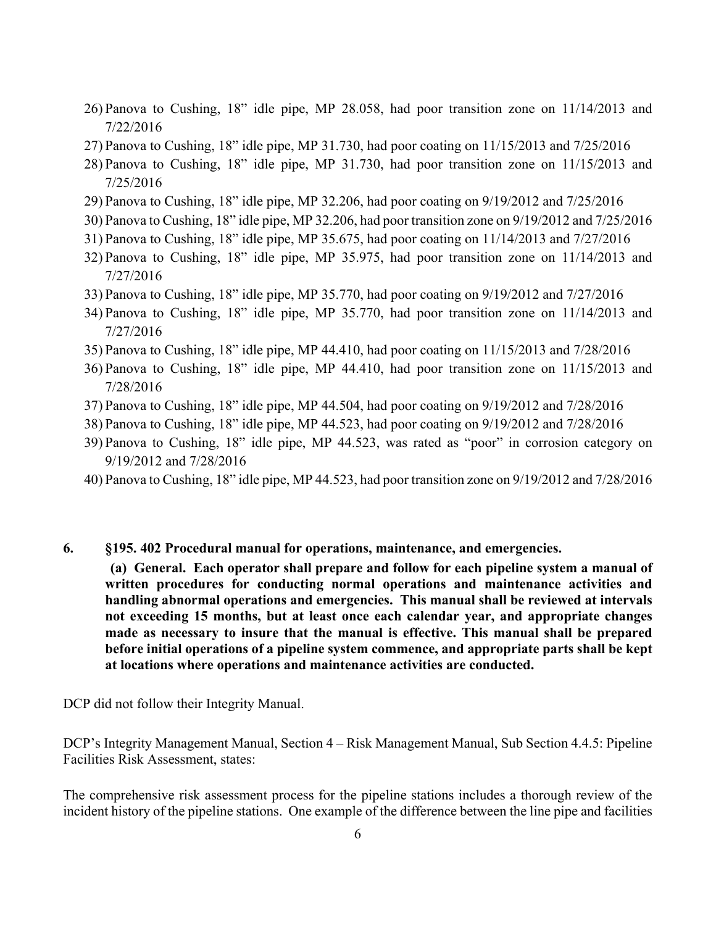- 26) Panova to Cushing, 18" idle pipe, MP 28.058, had poor transition zone on 11/14/2013 and 7/22/2016
- 27) Panova to Cushing, 18" idle pipe, MP 31.730, had poor coating on 11/15/2013 and 7/25/2016
- 28) Panova to Cushing, 18" idle pipe, MP 31.730, had poor transition zone on 11/15/2013 and 7/25/2016
- 29) Panova to Cushing, 18" idle pipe, MP 32.206, had poor coating on 9/19/2012 and 7/25/2016
- 30) Panova to Cushing, 18" idle pipe, MP 32.206, had poor transition zone on 9/19/2012 and 7/25/2016
- 31) Panova to Cushing, 18" idle pipe, MP 35.675, had poor coating on 11/14/2013 and 7/27/2016
- 32) Panova to Cushing, 18" idle pipe, MP 35.975, had poor transition zone on 11/14/2013 and 7/27/2016
- 33) Panova to Cushing, 18" idle pipe, MP 35.770, had poor coating on 9/19/2012 and 7/27/2016
- 34) Panova to Cushing, 18" idle pipe, MP 35.770, had poor transition zone on 11/14/2013 and 7/27/2016
- 35) Panova to Cushing, 18" idle pipe, MP 44.410, had poor coating on 11/15/2013 and 7/28/2016
- 36) Panova to Cushing, 18" idle pipe, MP 44.410, had poor transition zone on 11/15/2013 and 7/28/2016
- 37) Panova to Cushing, 18" idle pipe, MP 44.504, had poor coating on 9/19/2012 and 7/28/2016
- 38) Panova to Cushing, 18" idle pipe, MP 44.523, had poor coating on 9/19/2012 and 7/28/2016
- 39) Panova to Cushing, 18" idle pipe, MP 44.523, was rated as "poor" in corrosion category on 9/19/2012 and 7/28/2016
- 40) Panova to Cushing, 18" idle pipe, MP 44.523, had poor transition zone on 9/19/2012 and 7/28/2016
- **6. §195. 402 Procedural manual for operations, maintenance, and emergencies.**

 **(a) General. Each operator shall prepare and follow for each pipeline system a manual of written procedures for conducting normal operations and maintenance activities and handling abnormal operations and emergencies. This manual shall be reviewed at intervals not exceeding 15 months, but at least once each calendar year, and appropriate changes made as necessary to insure that the manual is effective. This manual shall be prepared before initial operations of a pipeline system commence, and appropriate parts shall be kept at locations where operations and maintenance activities are conducted.** 

DCP did not follow their Integrity Manual.

DCP's Integrity Management Manual, Section 4 – Risk Management Manual, Sub Section 4.4.5: Pipeline Facilities Risk Assessment, states:

The comprehensive risk assessment process for the pipeline stations includes a thorough review of the incident history of the pipeline stations. One example of the difference between the line pipe and facilities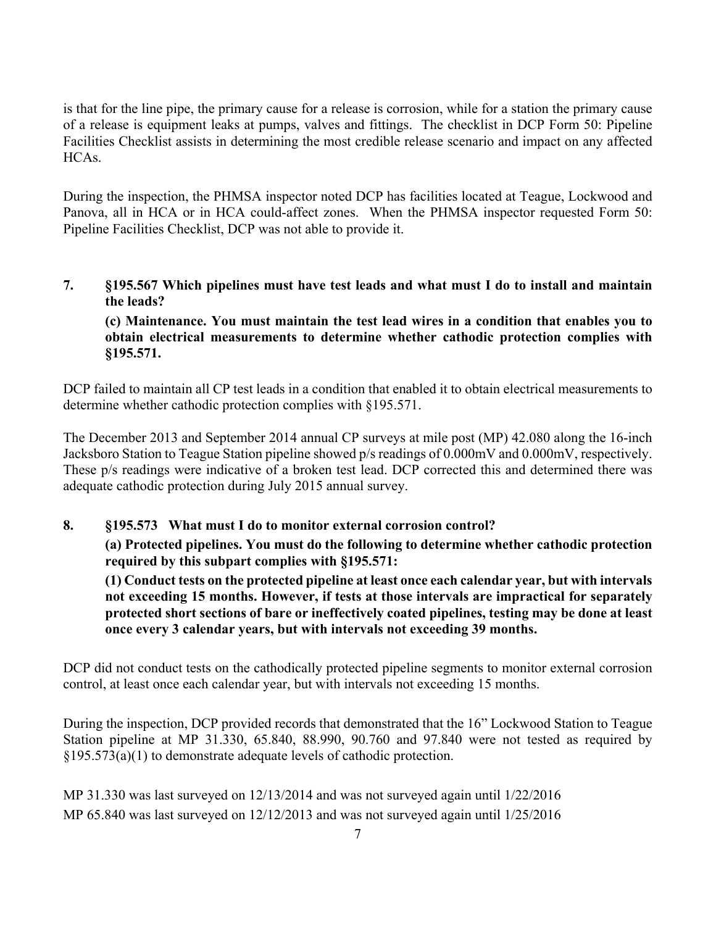is that for the line pipe, the primary cause for a release is corrosion, while for a station the primary cause of a release is equipment leaks at pumps, valves and fittings. The checklist in DCP Form 50: Pipeline Facilities Checklist assists in determining the most credible release scenario and impact on any affected HCAs.

During the inspection, the PHMSA inspector noted DCP has facilities located at Teague, Lockwood and Panova, all in HCA or in HCA could-affect zones. When the PHMSA inspector requested Form 50: Pipeline Facilities Checklist, DCP was not able to provide it.

**7. §195.567 Which pipelines must have test leads and what must I do to install and maintain the leads?** 

**(c) Maintenance. You must maintain the test lead wires in a condition that enables you to obtain electrical measurements to determine whether cathodic protection complies with §195.571.** 

DCP failed to maintain all CP test leads in a condition that enabled it to obtain electrical measurements to determine whether cathodic protection complies with §195.571.

The December 2013 and September 2014 annual CP surveys at mile post (MP) 42.080 along the 16-inch Jacksboro Station to Teague Station pipeline showed p/s readings of 0.000mV and 0.000mV, respectively. These p/s readings were indicative of a broken test lead. DCP corrected this and determined there was adequate cathodic protection during July 2015 annual survey.

### **8. §195.573 What must I do to monitor external corrosion control?**

**(a) Protected pipelines. You must do the following to determine whether cathodic protection required by this subpart complies with §195.571:** 

**(1) Conduct tests on the protected pipeline at least once each calendar year, but with intervals not exceeding 15 months. However, if tests at those intervals are impractical for separately protected short sections of bare or ineffectively coated pipelines, testing may be done at least once every 3 calendar years, but with intervals not exceeding 39 months.** 

DCP did not conduct tests on the cathodically protected pipeline segments to monitor external corrosion control, at least once each calendar year, but with intervals not exceeding 15 months.

During the inspection, DCP provided records that demonstrated that the 16" Lockwood Station to Teague Station pipeline at MP 31.330, 65.840, 88.990, 90.760 and 97.840 were not tested as required by §195.573(a)(1) to demonstrate adequate levels of cathodic protection.

MP 31.330 was last surveyed on 12/13/2014 and was not surveyed again until 1/22/2016 MP 65.840 was last surveyed on  $12/12/2013$  and was not surveyed again until  $1/25/2016$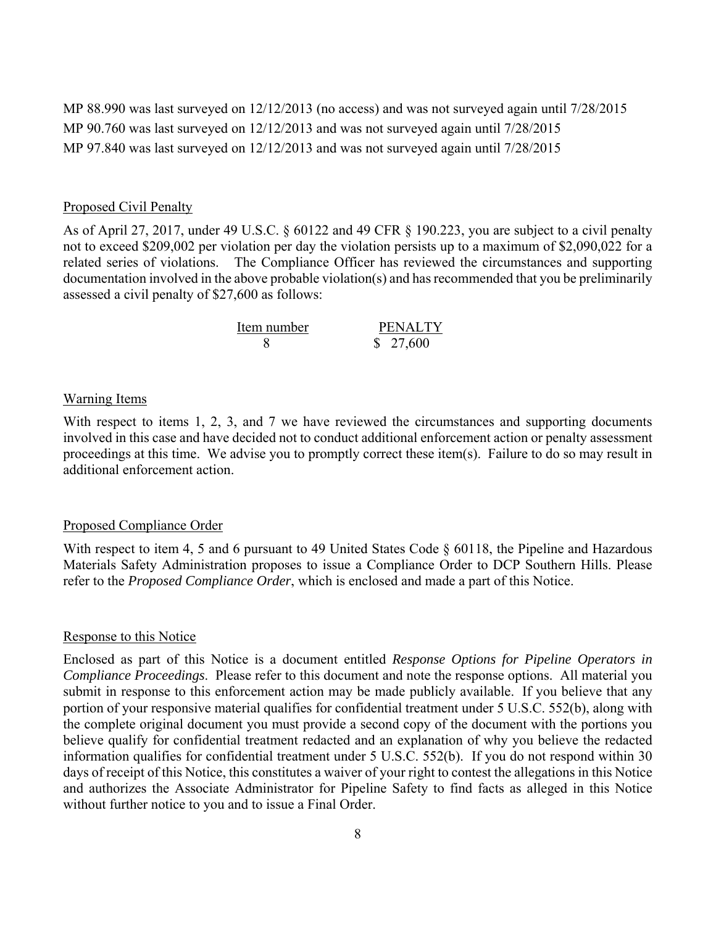MP 88.990 was last surveyed on 12/12/2013 (no access) and was not surveyed again until 7/28/2015 MP 90.760 was last surveyed on 12/12/2013 and was not surveyed again until 7/28/2015 MP 97.840 was last surveyed on 12/12/2013 and was not surveyed again until 7/28/2015

#### Proposed Civil Penalty

As of April 27, 2017, under 49 U.S.C. § 60122 and 49 CFR § 190.223, you are subject to a civil penalty not to exceed \$209,002 per violation per day the violation persists up to a maximum of \$2,090,022 for a related series of violations. The Compliance Officer has reviewed the circumstances and supporting documentation involved in the above probable violation(s) and has recommended that you be preliminarily assessed a civil penalty of \$27,600 as follows:

| Item number | <b>PENALTY</b> |
|-------------|----------------|
|             | \$27,600       |

#### Warning Items

With respect to items 1, 2, 3, and 7 we have reviewed the circumstances and supporting documents involved in this case and have decided not to conduct additional enforcement action or penalty assessment proceedings at this time. We advise you to promptly correct these item(s). Failure to do so may result in additional enforcement action.

#### Proposed Compliance Order

With respect to item 4, 5 and 6 pursuant to 49 United States Code § 60118, the Pipeline and Hazardous Materials Safety Administration proposes to issue a Compliance Order to DCP Southern Hills. Please refer to the *Proposed Compliance Order*, which is enclosed and made a part of this Notice.

#### Response to this Notice

Enclosed as part of this Notice is a document entitled *Response Options for Pipeline Operators in Compliance Proceedings*. Please refer to this document and note the response options. All material you submit in response to this enforcement action may be made publicly available. If you believe that any portion of your responsive material qualifies for confidential treatment under 5 U.S.C. 552(b), along with the complete original document you must provide a second copy of the document with the portions you believe qualify for confidential treatment redacted and an explanation of why you believe the redacted information qualifies for confidential treatment under 5 U.S.C. 552(b). If you do not respond within 30 days of receipt of this Notice, this constitutes a waiver of your right to contest the allegations in this Notice and authorizes the Associate Administrator for Pipeline Safety to find facts as alleged in this Notice without further notice to you and to issue a Final Order.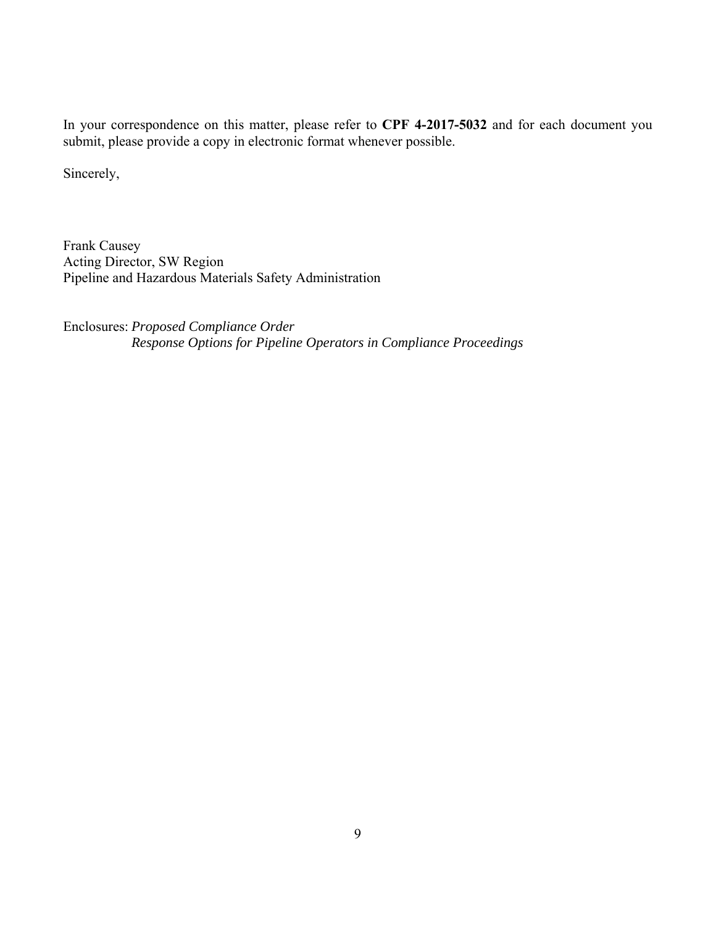In your correspondence on this matter, please refer to **CPF 4-2017-5032** and for each document you submit, please provide a copy in electronic format whenever possible.

Sincerely,

Frank Causey Acting Director, SW Region Pipeline and Hazardous Materials Safety Administration

Enclosures: *Proposed Compliance Order Response Options for Pipeline Operators in Compliance Proceedings*